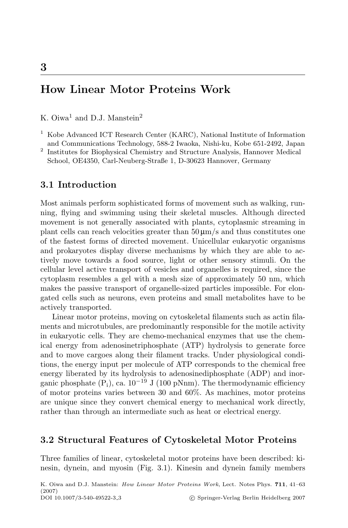# **How Linear Motor Proteins Work**

K. Oiwa<sup>1</sup> and D.J. Manstein<sup>2</sup>

#### **3.1 Introduction**

Most animals perform sophisticated forms of movement such as walking, running, flying and swimming using their skeletal muscles. Although directed movement is not generally associated with plants, cytoplasmic streaming in plant cells can reach velocities greater than  $50 \mu m/s$  and thus constitutes one of the fastest forms of directed movement. Unicellular eukaryotic organisms and prokaryotes display diverse mechanisms by which they are able to actively move towards a food source, light or other sensory stimuli. On the cellular level active transport of vesicles and organelles is required, since the cytoplasm resembles a gel with a mesh size of approximately 50 nm, which makes the passive transport of organelle-sized particles impossible. For elongated cells such as neurons, even proteins and small metabolites have to be actively transported.

Linear motor proteins, moving on cytoskeletal filaments such as actin filaments and microtubules, are predominantly responsible for the motile activity in eukaryotic cells. They are chemo-mechanical enzymes that use the chemical energy from adenosinetriphosphate (ATP) hydrolysis to generate force and to move cargoes along their filament tracks. Under physiological conditions, the energy input per molecule of ATP corresponds to the chemical free energy liberated by its hydrolysis to adenosinediphosphate (ADP) and inorganic phosphate  $(P_i)$ , ca.  $10^{-19}$  J (100 pNnm). The thermodynamic efficiency of motor proteins varies between 30 and 60%. As machines, motor proteins are unique since they convert chemical energy to mechanical work directly, rather than through an intermediate such as heat or electrical energy.

#### **3.2 Structural Features of Cytoskeletal Motor Proteins**

Three families of linear, cytoskeletal motor proteins have been described: kinesin, dynein, and myosin (Fig. 3.1). Kinesin and dynein family members

K. Oiwa and D.J. Manstein: How Linear Motor Proteins Work, Lect. Notes Phys. **711**, 41–63  $(2007)$ <br>DOI 10.1007/3-540-49522-3<sub>-3</sub> DOI 10.1007/3-540-49522-3 3 c Springer-Verlag Berlin Heidelberg 2007

<sup>&</sup>lt;sup>1</sup> Kobe Advanced ICT Research Center (KARC), National Institute of Information and Communications Technology, 588-2 Iwaoka, Nishi-ku, Kobe 651-2492, Japan

<sup>2</sup> Institutes for Biophysical Chemistry and Structure Analysis, Hannover Medical School, OE4350, Carl-Neuberg-Straße 1, D-30623 Hannover, Germany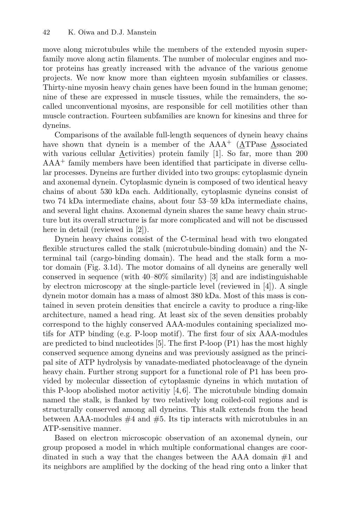move along microtubules while the members of the extended myosin superfamily move along actin filaments. The number of molecular engines and motor proteins has greatly increased with the advance of the various genome projects. We now know more than eighteen myosin subfamilies or classes. Thirty-nine myosin heavy chain genes have been found in the human genome; nine of these are expressed in muscle tissues, while the remainders, the socalled unconventional myosins, are responsible for cell motilities other than muscle contraction. Fourteen subfamilies are known for kinesins and three for dyneins.

Comparisons of the available full-length sequences of dynein heavy chains have shown that dynein is a member of the  $AAA^+$  (ATPase Associated with various cellular Activities) protein family [1]. So far, more than 200 AAA<sup>+</sup> family members have been identified that participate in diverse cellular processes. Dyneins are further divided into two groups: cytoplasmic dynein and axonemal dynein. Cytoplasmic dynein is composed of two identical heavy chains of about 530 kDa each. Additionally, cytoplasmic dyneins consist of two 74 kDa intermediate chains, about four 53–59 kDa intermediate chains, and several light chains. Axonemal dynein shares the same heavy chain structure but its overall structure is far more complicated and will not be discussed here in detail (reviewed in [2]).

Dynein heavy chains consist of the C-terminal head with two elongated flexible structures called the stalk (microtubule-binding domain) and the Nterminal tail (cargo-binding domain). The head and the stalk form a motor domain (Fig. 3.1d). The motor domains of all dyneins are generally well conserved in sequence (with 40–80% similarity) [3] and are indistinguishable by electron microscopy at the single-particle level (reviewed in  $[4]$ ). A single dynein motor domain has a mass of almost 380 kDa. Most of this mass is contained in seven protein densities that encircle a cavity to produce a ring-like architecture, named a head ring. At least six of the seven densities probably correspond to the highly conserved AAA-modules containing specialized motifs for ATP binding (e.g. P-loop motif). The first four of six AAA-modules are predicted to bind nucleotides [5]. The first P-loop (P1) has the most highly conserved sequence among dyneins and was previously assigned as the principal site of ATP hydrolysis by vanadate-mediated photocleavage of the dynein heavy chain. Further strong support for a functional role of P1 has been provided by molecular dissection of cytoplasmic dyneins in which mutation of this P-loop abolished motor activitiy  $[4,6]$ . The microtubule binding domain named the stalk, is flanked by two relatively long coiled-coil regions and is structurally conserved among all dyneins. This stalk extends from the head between  $AAA$ -modules  $\#4$  and  $\#5$ . Its tip interacts with microtubules in an ATP-sensitive manner.

Based on electron microscopic observation of an axonemal dynein, our group proposed a model in which multiple conformational changes are coordinated in such a way that the changes between the AAA domain #1 and its neighbors are amplified by the docking of the head ring onto a linker that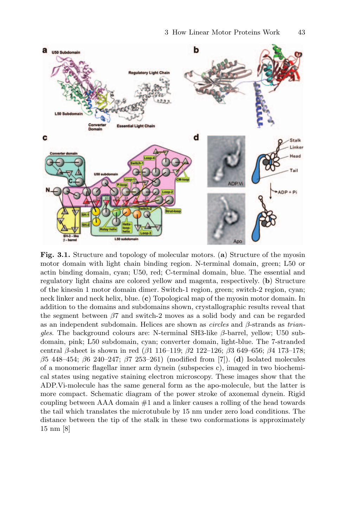

**Fig. 3.1.** Structure and topology of molecular motors. (**a**) Structure of the myosin motor domain with light chain binding region. N-terminal domain, green; L50 or actin binding domain, cyan; U50, red; C-terminal domain, blue. The essential and regulatory light chains are colored yellow and magenta, respectively. (**b**) Structure of the kinesin 1 motor domain dimer. Switch-1 region, green; switch-2 region, cyan; neck linker and neck helix, blue. (**c**) Topological map of the myosin motor domain. In addition to the domains and subdomains shown, crystallographic results reveal that the segment between  $\beta$ 7 and switch-2 moves as a solid body and can be regarded as an independent subdomain. Helices are shown as *circles* and  $\beta$ -strands as *trian*gles. The background colours are: N-terminal SH3-like  $\beta$ -barrel, yellow; U50 subdomain, pink; L50 subdomain, cyan; converter domain, light-blue. The 7-stranded central β-sheet is shown in red (β1 116–119; β2 122–126; β3 649–656; β4 173–178; β5 448–454; β6 240–247; β7 253–261) (modified from [7]). (**d**) Isolated molecules of a monomeric flagellar inner arm dynein (subspecies c), imaged in two biochemical states using negative staining electron microscopy. These images show that the ADP.Vi-molecule has the same general form as the apo-molecule, but the latter is more compact. Schematic diagram of the power stroke of axonemal dynein. Rigid coupling between AAA domain  $#1$  and a linker causes a rolling of the head towards the tail which translates the microtubule by 15 nm under zero load conditions. The distance between the tip of the stalk in these two conformations is approximately 15 nm [8]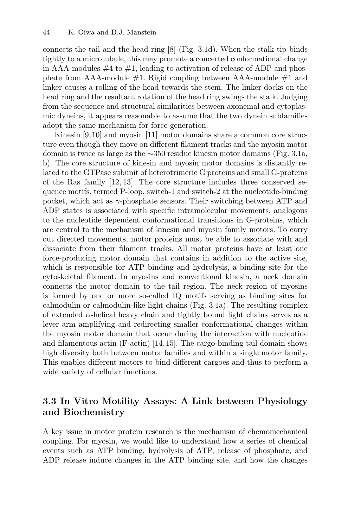connects the tail and the head ring [8] (Fig. 3.1d). When the stalk tip binds tightly to a microtubule, this may promote a concerted conformational change in AAA-modules  $#4$  to  $#1$ , leading to activation of release of ADP and phosphate from AAA-module  $#1$ . Rigid coupling between AAA-module  $#1$  and linker causes a rolling of the head towards the stem. The linker docks on the head ring and the resultant rotation of the head ring swings the stalk. Judging from the sequence and structural similarities between axonemal and cytoplasmic dyneins, it appears reasonable to assume that the two dynein subfamilies adopt the same mechanism for force generation.

Kinesin [9,10] and myosin [11] motor domains share a common core structure even though they move on different filament tracks and the myosin motor domain is twice as large as the ∼350 residue kinesin motor domains (Fig. 3.1a, b). The core structure of kinesin and myosin motor domains is distantly related to the GTPase subunit of heterotrimeric G proteins and small G-proteins of the Ras family [12, 13]. The core structure includes three conserved sequence motifs, termed P-loop, switch-1 and switch-2 at the nucleotide-binding pocket, which act as  $\gamma$ -phosphate sensors. Their switching between ATP and ADP states is associated with specific intramolecular movements, analogous to the nucleotide dependent conformational transitions in G-proteins, which are central to the mechanism of kinesin and myosin family motors. To carry out directed movements, motor proteins must be able to associate with and dissociate from their filament tracks. All motor proteins have at least one force-producing motor domain that contains in addition to the active site, which is responsible for ATP binding and hydrolysis, a binding site for the cytoskeletal filament. In myosins and conventional kinesin, a neck domain connects the motor domain to the tail region. The neck region of myosins is formed by one or more so-called IQ motifs serving as binding sites for calmodulin or calmodulin-like light chains (Fig. 3.1a). The resulting complex of extended  $\alpha$ -helical heavy chain and tightly bound light chains serves as a lever arm amplifying and redirecting smaller conformational changes within the myosin motor domain that occur during the interaction with nucleotide and filamentous actin (F-actin) [14,15]. The cargo-binding tail domain shows high diversity both between motor families and within a single motor family. This enables different motors to bind different cargoes and thus to perform a wide variety of cellular functions.

### **3.3 In Vitro Motility Assays: A Link between Physiology and Biochemistry**

A key issue in motor protein research is the mechanism of chemomechanical coupling. For myosin, we would like to understand how a series of chemical events such as ATP binding, hydrolysis of ATP, release of phosphate, and ADP release induce changes in the ATP binding site, and how the changes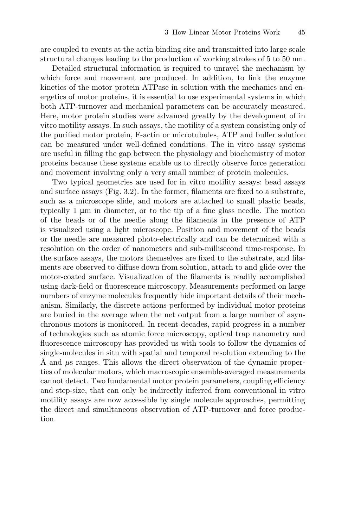are coupled to events at the actin binding site and transmitted into large scale structural changes leading to the production of working strokes of 5 to 50 nm.

Detailed structural information is required to unravel the mechanism by which force and movement are produced. In addition, to link the enzyme kinetics of the motor protein ATPase in solution with the mechanics and energetics of motor proteins, it is essential to use experimental systems in which both ATP-turnover and mechanical parameters can be accurately measured. Here, motor protein studies were advanced greatly by the development of in vitro motility assays. In such assays, the motility of a system consisting only of the purified motor protein, F-actin or microtubules, ATP and buffer solution can be measured under well-defined conditions. The in vitro assay systems are useful in filling the gap between the physiology and biochemistry of motor proteins because these systems enable us to directly observe force generation and movement involving only a very small number of protein molecules.

Two typical geometries are used for in vitro motility assays: bead assays and surface assays (Fig. 3.2). In the former, filaments are fixed to a substrate, such as a microscope slide, and motors are attached to small plastic beads, typically  $1 \mu m$  in diameter, or to the tip of a fine glass needle. The motion of the beads or of the needle along the filaments in the presence of ATP is visualized using a light microscope. Position and movement of the beads or the needle are measured photo-electrically and can be determined with a resolution on the order of nanometers and sub-millisecond time-response. In the surface assays, the motors themselves are fixed to the substrate, and filaments are observed to diffuse down from solution, attach to and glide over the motor-coated surface. Visualization of the filaments is readily accomplished using dark-field or fluorescence microscopy. Measurements performed on large numbers of enzyme molecules frequently hide important details of their mechanism. Similarly, the discrete actions performed by individual motor proteins are buried in the average when the net output from a large number of asynchronous motors is monitored. In recent decades, rapid progress in a number of technologies such as atomic force microscopy, optical trap nanometry and fluorescence microscopy has provided us with tools to follow the dynamics of single-molecules in situ with spatial and temporal resolution extending to the  $\overline{A}$  and  $\mu$ s ranges. This allows the direct observation of the dynamic properties of molecular motors, which macroscopic ensemble-averaged measurements cannot detect. Two fundamental motor protein parameters, coupling efficiency and step-size, that can only be indirectly inferred from conventional in vitro motility assays are now accessible by single molecule approaches, permitting the direct and simultaneous observation of ATP-turnover and force production.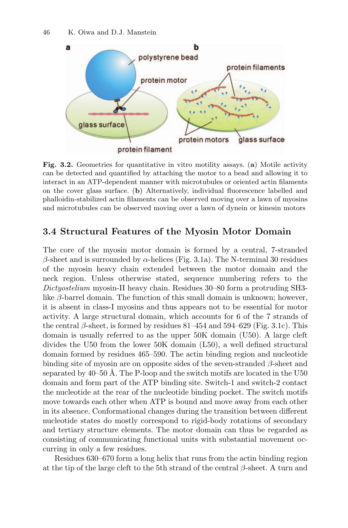

**Fig. 3.2.** Geometries for quantitative in vitro motility assays. (**a**) Motile activity can be detected and quantified by attaching the motor to a bead and allowing it to interact in an ATP-dependent manner with microtubules or oriented actin filaments on the cover glass surface. (**b**) Alternatively, individual fluorescence labelled and phalloidin-stabilized actin filaments can be observed moving over a lawn of myosins and microtubules can be observed moving over a lawn of dynein or kinesin motors

#### **3.4 Structural Features of the Myosin Motor Domain**

The core of the myosin motor domain is formed by a central, 7-stranded  $β$ -sheet and is surrounded by α-helices (Fig. 3.1a). The N-terminal 30 residues of the myosin heavy chain extended between the motor domain and the neck region. Unless otherwise stated, sequence numbering refers to the Dictyostelium myosin-II heavy chain. Residues 30–80 form a protruding SH3 like  $\beta$ -barrel domain. The function of this small domain is unknown; however, it is absent in class-I myosins and thus appears not to be essential for motor activity. A large structural domain, which accounts for 6 of the 7 strands of the central  $\beta$ -sheet, is formed by residues 81–454 and 594–629 (Fig. 3.1c). This domain is usually referred to as the upper 50K domain (U50). A large cleft divides the U50 from the lower 50K domain (L50), a well defined structural domain formed by residues 465–590. The actin binding region and nucleotide binding site of myosin are on opposite sides of the seven-stranded  $\beta$ -sheet and separated by  $40-50$  Å. The P-loop and the switch motifs are located in the U50 domain and form part of the ATP binding site. Switch-1 and switch-2 contact the nucleotide at the rear of the nucleotide binding pocket. The switch motifs move towards each other when ATP is bound and move away from each other in its absence. Conformational changes during the transition between different nucleotide states do mostly correspond to rigid-body rotations of secondary and tertiary structure elements. The motor domain can thus be regarded as consisting of communicating functional units with substantial movement occurring in only a few residues.

Residues 630–670 form a long helix that runs from the actin binding region at the tip of the large cleft to the 5th strand of the central  $\beta$ -sheet. A turn and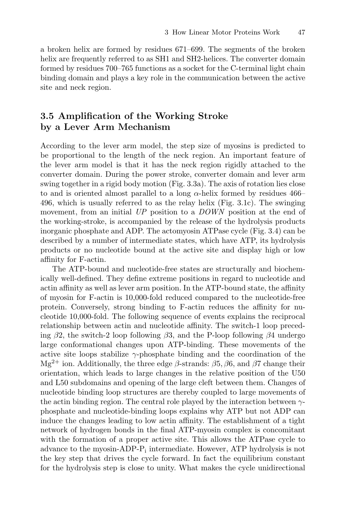a broken helix are formed by residues 671–699. The segments of the broken helix are frequently referred to as SH1 and SH2-helices. The converter domain formed by residues 700–765 functions as a socket for the C-terminal light chain binding domain and plays a key role in the communication between the active site and neck region.

### **3.5 Amplification of the Working Stroke by a Lever Arm Mechanism**

According to the lever arm model, the step size of myosins is predicted to be proportional to the length of the neck region. An important feature of the lever arm model is that it has the neck region rigidly attached to the converter domain. During the power stroke, converter domain and lever arm swing together in a rigid body motion (Fig. 3.3a). The axis of rotation lies close to and is oriented almost parallel to a long  $\alpha$ -helix formed by residues 466– 496, which is usually referred to as the relay helix (Fig. 3.1c). The swinging movement, from an initial UP position to a DOWN position at the end of the working-stroke, is accompanied by the release of the hydrolysis products inorganic phosphate and ADP. The actomyosin ATPase cycle (Fig. 3.4) can be described by a number of intermediate states, which have ATP, its hydrolysis products or no nucleotide bound at the active site and display high or low affinity for F-actin.

The ATP-bound and nucleotide-free states are structurally and biochemically well-defined. They define extreme positions in regard to nucleotide and actin affinity as well as lever arm position. In the ATP-bound state, the affinity of myosin for F-actin is 10,000-fold reduced compared to the nucleotide-free protein. Conversely, strong binding to F-actin reduces the affinity for nucleotide 10,000-fold. The following sequence of events explains the reciprocal relationship between actin and nucleotide affinity. The switch-1 loop preceding β2, the switch-2 loop following β3, and the P-loop following β4 undergo large conformational changes upon ATP-binding. These movements of the active site loops stabilize  $\gamma$ -phosphate binding and the coordination of the  $Mg^{2+}$  ion. Additionally, the three edge  $\beta$ -strands:  $\beta$ 5,  $\beta$ 6, and  $\beta$ 7 change their orientation, which leads to large changes in the relative position of the U50 and L50 subdomains and opening of the large cleft between them. Changes of nucleotide binding loop structures are thereby coupled to large movements of the actin binding region. The central role played by the interaction between  $\gamma$ phosphate and nucleotide-binding loops explains why ATP but not ADP can induce the changes leading to low actin affinity. The establishment of a tight network of hydrogen bonds in the final ATP-myosin complex is concomitant with the formation of a proper active site. This allows the ATPase cycle to advance to the myosin-ADP-P<sup>i</sup> intermediate. However, ATP hydrolysis is not the key step that drives the cycle forward. In fact the equilibrium constant for the hydrolysis step is close to unity. What makes the cycle unidirectional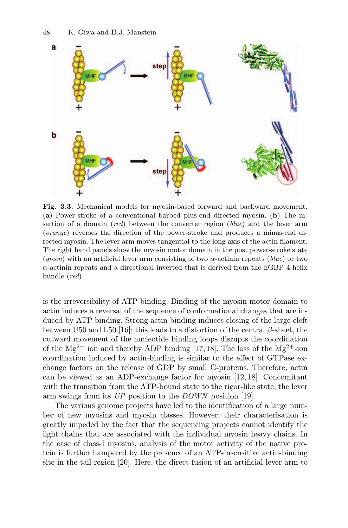

**Fig. 3.3.** Mechanical models for myosin-based forward and backward movement. (**a**) Power-stroke of a conventional barbed plus-end directed myosin. (**b**) The insertion of a domain (red) between the converter region (blue) and the lever arm (orange) reverses the direction of the power-stroke and produces a minus-end directed myosin. The lever arm moves tangential to the long axis of the actin filament. The right hand panels show the myosin motor domain in the post power-stroke state (green) with an artificial lever arm consisting of two  $\alpha$ -actinin repeats (blue) or two  $\alpha$ -actinin repeats and a directional inverted that is derived from the hGBP 4-helix bundle (red)

is the irreversibility of ATP binding. Binding of the myosin motor domain to actin induces a reversal of the sequence of conformational changes that are induced by ATP binding. Strong actin binding induces closing of the large cleft between U50 and L50 [16]; this leads to a distortion of the central  $\beta$ -sheet, the outward movement of the nucleotide binding loops disrupts the coordination of the  $Mg^{2+}$  ion and thereby ADP binding [17,18]. The loss of the  $Mg^{2+}$ -ion coordination induced by actin-binding is similar to the effect of GTPase exchange factors on the release of GDP by small G-proteins. Therefore, actin can be viewed as an ADP-exchange factor for myosin [12, 18]. Concomitant with the transition from the ATP-bound state to the rigor-like state, the lever arm swings from its UP position to the DOWN position [19].

The various genome projects have led to the identification of a large number of new myosins and myosin classes. However, their characterisation is greatly impeded by the fact that the sequencing projects cannot identify the light chains that are associated with the individual myosin heavy chains. In the case of class-I myosins, analysis of the motor activity of the native protein is further hampered by the presence of an ATP-insensitive actin-binding site in the tail region [20]. Here, the direct fusion of an artificial lever arm to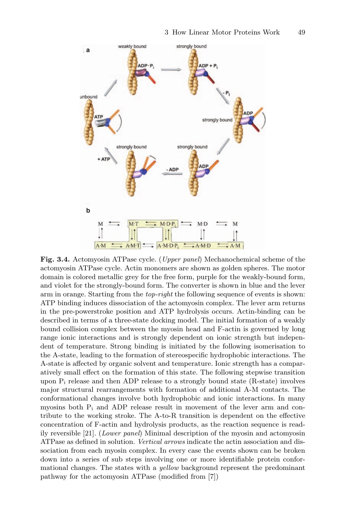

Fig. 3.4. Actomyosin ATPase cycle. (Upper panel) Mechanochemical scheme of the actomyosin ATPase cycle. Actin monomers are shown as golden spheres. The motor domain is colored metallic grey for the free form, purple for the weakly-bound form, and violet for the strongly-bound form. The converter is shown in blue and the lever arm in orange. Starting from the *top-right* the following sequence of events is shown: ATP binding induces dissociation of the actomyosin complex. The lever arm returns in the pre-powerstroke position and ATP hydrolysis occurs. Actin-binding can be described in terms of a three-state docking model. The initial formation of a weakly bound collision complex between the myosin head and F-actin is governed by long range ionic interactions and is strongly dependent on ionic strength but independent of temperature. Strong binding is initiated by the following isomerisation to the A-state, leading to the formation of stereospecific hydrophobic interactions. The A-state is affected by organic solvent and temperature. Ionic strength has a comparatively small effect on the formation of this state. The following stepwise transition upon  $P_i$  release and then ADP release to a strongly bound state (R-state) involves major structural rearrangements with formation of additional A-M contacts. The conformational changes involve both hydrophobic and ionic interactions. In many myosins both  $P_i$  and ADP release result in movement of the lever arm and contribute to the working stroke. The A-to-R transition is dependent on the effective concentration of F-actin and hydrolysis products, as the reaction sequence is readily reversible [21]. (Lower panel) Minimal description of the myosin and actomyosin ATPase as defined in solution. Vertical arrows indicate the actin association and dissociation from each myosin complex. In every case the events shown can be broken down into a series of sub steps involving one or more identifiable protein conformational changes. The states with a yellow background represent the predominant pathway for the actomyosin ATPase (modified from [7])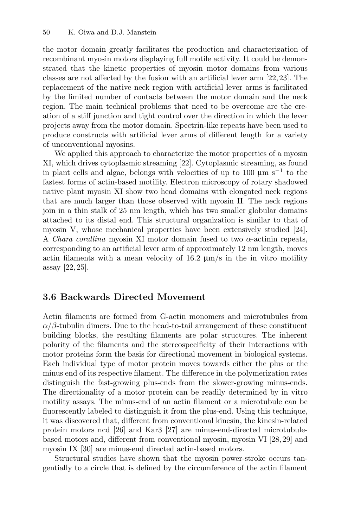the motor domain greatly facilitates the production and characterization of recombinant myosin motors displaying full motile activity. It could be demonstrated that the kinetic properties of myosin motor domains from various classes are not affected by the fusion with an artificial lever arm [22,23]. The replacement of the native neck region with artificial lever arms is facilitated by the limited number of contacts between the motor domain and the neck region. The main technical problems that need to be overcome are the creation of a stiff junction and tight control over the direction in which the lever projects away from the motor domain. Spectrin-like repeats have been used to produce constructs with artificial lever arms of different length for a variety of unconventional myosins.

We applied this approach to characterize the motor properties of a myosin XI, which drives cytoplasmic streaming [22]. Cytoplasmic streaming, as found in plant cells and algae, belongs with velocities of up to 100  $\mu$ m s<sup>-1</sup> to the fastest forms of actin-based motility. Electron microscopy of rotary shadowed native plant myosin XI show two head domains with elongated neck regions that are much larger than those observed with myosin II. The neck regions join in a thin stalk of 25 nm length, which has two smaller globular domains attached to its distal end. This structural organization is similar to that of myosin V, whose mechanical properties have been extensively studied [24]. A *Chara corallina* myosin XI motor domain fused to two  $\alpha$ -actinin repeats, corresponding to an artificial lever arm of approximately 12 nm length, moves actin filaments with a mean velocity of  $16.2 \mu m/s$  in the in vitro motility assay [22,25].

#### **3.6 Backwards Directed Movement**

Actin filaments are formed from G-actin monomers and microtubules from  $\alpha/\beta$ -tubulin dimers. Due to the head-to-tail arrangement of these constituent building blocks, the resulting filaments are polar structures. The inherent polarity of the filaments and the stereospecificity of their interactions with motor proteins form the basis for directional movement in biological systems. Each individual type of motor protein moves towards either the plus or the minus end of its respective filament. The difference in the polymerization rates distinguish the fast-growing plus-ends from the slower-growing minus-ends. The directionality of a motor protein can be readily determined by in vitro motility assays. The minus-end of an actin filament or a microtubule can be fluorescently labeled to distinguish it from the plus-end. Using this technique, it was discovered that, different from conventional kinesin, the kinesin-related protein motors ncd [26] and Kar3 [27] are minus-end-directed microtubulebased motors and, different from conventional myosin, myosin VI [28,29] and myosin IX [30] are minus-end directed actin-based motors.

Structural studies have shown that the myosin power-stroke occurs tangentially to a circle that is defined by the circumference of the actin filament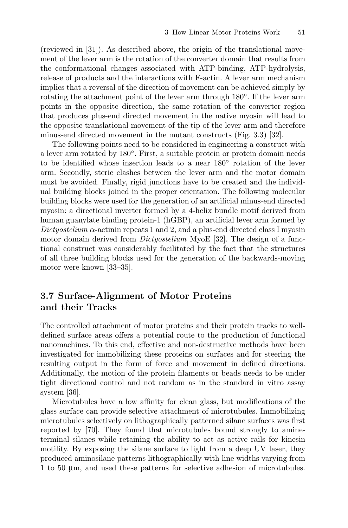(reviewed in [31]). As described above, the origin of the translational movement of the lever arm is the rotation of the converter domain that results from the conformational changes associated with ATP-binding, ATP-hydrolysis, release of products and the interactions with F-actin. A lever arm mechanism implies that a reversal of the direction of movement can be achieved simply by rotating the attachment point of the lever arm through 180◦. If the lever arm points in the opposite direction, the same rotation of the converter region that produces plus-end directed movement in the native myosin will lead to the opposite translational movement of the tip of the lever arm and therefore minus-end directed movement in the mutant constructs (Fig. 3.3) [32].

The following points need to be considered in engineering a construct with a lever arm rotated by 180◦. First, a suitable protein or protein domain needs to be identified whose insertion leads to a near 180◦ rotation of the lever arm. Secondly, steric clashes between the lever arm and the motor domain must be avoided. Finally, rigid junctions have to be created and the individual building blocks joined in the proper orientation. The following molecular building blocks were used for the generation of an artificial minus-end directed myosin: a directional inverter formed by a 4-helix bundle motif derived from human guanylate binding protein-1 (hGBP), an artificial lever arm formed by Dictyostelium  $\alpha$ -actinin repeats 1 and 2, and a plus-end directed class I myosin motor domain derived from *Dictyostelium* MyoE [32]. The design of a functional construct was considerably facilitated by the fact that the structures of all three building blocks used for the generation of the backwards-moving motor were known [33–35].

### **3.7 Surface-Alignment of Motor Proteins and their Tracks**

The controlled attachment of motor proteins and their protein tracks to welldefined surface areas offers a potential route to the production of functional nanomachines. To this end, effective and non-destructive methods have been investigated for immobilizing these proteins on surfaces and for steering the resulting output in the form of force and movement in defined directions. Additionally, the motion of the protein filaments or beads needs to be under tight directional control and not random as in the standard in vitro assay system [36].

Microtubules have a low affinity for clean glass, but modifications of the glass surface can provide selective attachment of microtubules. Immobilizing microtubules selectively on lithographically patterned silane surfaces was first reported by [70]. They found that microtubules bound strongly to amineterminal silanes while retaining the ability to act as active rails for kinesin motility. By exposing the silane surface to light from a deep UV laser, they produced aminosilane patterns lithographically with line widths varying from 1 to 50 µm, and used these patterns for selective adhesion of microtubules.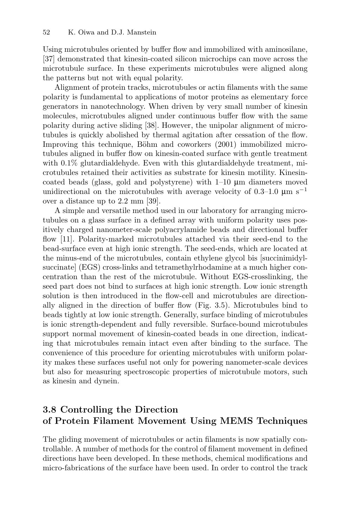Using microtubules oriented by buffer flow and immobilized with aminosilane, [37] demonstrated that kinesin-coated silicon microchips can move across the microtubule surface. In these experiments microtubules were aligned along the patterns but not with equal polarity.

Alignment of protein tracks, microtubules or actin filaments with the same polarity is fundamental to applications of motor proteins as elementary force generators in nanotechnology. When driven by very small number of kinesin molecules, microtubules aligned under continuous buffer flow with the same polarity during active sliding [38]. However, the unipolar alignment of microtubules is quickly abolished by thermal agitation after cessation of the flow. Improving this technique, Böhm and coworkers (2001) immobilized microtubules aligned in buffer flow on kinesin-coated surface with gentle treatment with  $0.1\%$  glutardialdehyde. Even with this glutardialdehyde treatment, microtubules retained their activities as substrate for kinesin motility. Kinesincoated beads (glass, gold and polystyrene) with 1–10 µm diameters moved unidirectional on the microtubules with average velocity of  $0.3-1.0 \text{ }\mu\text{m s}^{-1}$ over a distance up to 2.2 mm [39].

A simple and versatile method used in our laboratory for arranging microtubules on a glass surface in a defined array with uniform polarity uses positively charged nanometer-scale polyacrylamide beads and directional buffer flow [11]. Polarity-marked microtubules attached via their seed-end to the bead-surface even at high ionic strength. The seed-ends, which are located at the minus-end of the microtubules, contain ethylene glycol bis [succinimidylsuccinate] (EGS) cross-links and tetramethylrhodamine at a much higher concentration than the rest of the microtubule. Without EGS-crosslinking, the seed part does not bind to surfaces at high ionic strength. Low ionic strength solution is then introduced in the flow-cell and microtubules are directionally aligned in the direction of buffer flow (Fig. 3.5). Microtubules bind to beads tightly at low ionic strength. Generally, surface binding of microtubules is ionic strength-dependent and fully reversible. Surface-bound microtubules support normal movement of kinesin-coated beads in one direction, indicating that microtubules remain intact even after binding to the surface. The convenience of this procedure for orienting microtubules with uniform polarity makes these surfaces useful not only for powering nanometer-scale devices but also for measuring spectroscopic properties of microtubule motors, such as kinesin and dynein.

## **3.8 Controlling the Direction of Protein Filament Movement Using MEMS Techniques**

The gliding movement of microtubules or actin filaments is now spatially controllable. A number of methods for the control of filament movement in defined directions have been developed. In these methods, chemical modifications and micro-fabrications of the surface have been used. In order to control the track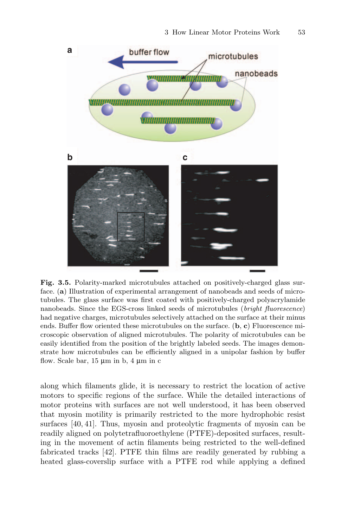

**Fig. 3.5.** Polarity-marked microtubules attached on positively-charged glass surface. (**a**) Illustration of experimental arrangement of nanobeads and seeds of microtubules. The glass surface was first coated with positively-charged polyacrylamide nanobeads. Since the EGS-cross linked seeds of microtubules (bright fluorescence) had negative charges, microtubules selectively attached on the surface at their minus ends. Buffer flow oriented these microtubules on the surface. (**b**, **c**) Fluorescence microscopic observation of aligned microtubules. The polarity of microtubules can be easily identified from the position of the brightly labeled seeds. The images demonstrate how microtubules can be efficiently aligned in a unipolar fashion by buffer flow. Scale bar,  $15 \mu m$  in b,  $4 \mu m$  in c

along which filaments glide, it is necessary to restrict the location of active motors to specific regions of the surface. While the detailed interactions of motor proteins with surfaces are not well understood, it has been observed that myosin motility is primarily restricted to the more hydrophobic resist surfaces [40, 41]. Thus, myosin and proteolytic fragments of myosin can be readily aligned on polytetrafluoroethylene (PTFE)-deposited surfaces, resulting in the movement of actin filaments being restricted to the well-defined fabricated tracks [42]. PTFE thin films are readily generated by rubbing a heated glass-coverslip surface with a PTFE rod while applying a defined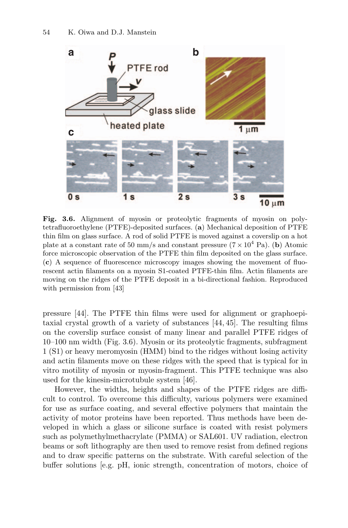

**Fig. 3.6.** Alignment of myosin or proteolytic fragments of myosin on polytetrafluoroethylene (PTFE)-deposited surfaces. (**a**) Mechanical deposition of PTFE thin film on glass surface. A rod of solid PTFE is moved against a coverslip on a hot plate at a constant rate of 50 mm/s and constant pressure  $(7 \times 10^4 \text{ Pa})$ . (**b**) Atomic force microscopic observation of the PTFE thin film deposited on the glass surface. (**c**) A sequence of fluorescence microscopy images showing the movement of fluorescent actin filaments on a myosin S1-coated PTFE-thin film. Actin filaments are moving on the ridges of the PTFE deposit in a bi-directional fashion. Reproduced with permission from [43]

pressure [44]. The PTFE thin films were used for alignment or graphoepitaxial crystal growth of a variety of substances [44, 45]. The resulting films on the coverslip surface consist of many linear and parallel PTFE ridges of 10–100 nm width (Fig. 3.6). Myosin or its proteolytic fragments, subfragment 1 (S1) or heavy meromyosin (HMM) bind to the ridges without losing activity and actin filaments move on these ridges with the speed that is typical for in vitro motility of myosin or myosin-fragment. This PTFE technique was also used for the kinesin-microtubule system [46].

However, the widths, heights and shapes of the PTFE ridges are difficult to control. To overcome this difficulty, various polymers were examined for use as surface coating, and several effective polymers that maintain the activity of motor proteins have been reported. Thus methods have been developed in which a glass or silicone surface is coated with resist polymers such as polymethylmethacrylate (PMMA) or SAL601. UV radiation, electron beams or soft lithography are then used to remove resist from defined regions and to draw specific patterns on the substrate. With careful selection of the buffer solutions [e.g. pH, ionic strength, concentration of motors, choice of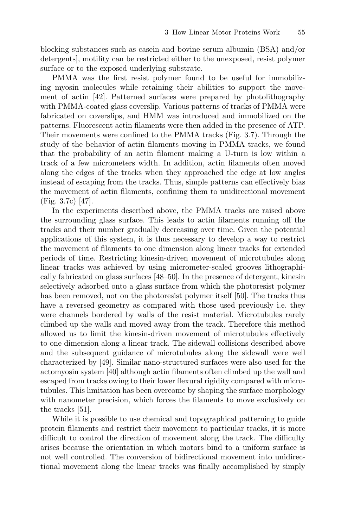blocking substances such as casein and bovine serum albumin (BSA) and/or detergents], motility can be restricted either to the unexposed, resist polymer surface or to the exposed underlying substrate.

PMMA was the first resist polymer found to be useful for immobilizing myosin molecules while retaining their abilities to support the movement of actin [42]. Patterned surfaces were prepared by photolithography with PMMA-coated glass coverslip. Various patterns of tracks of PMMA were fabricated on coverslips, and HMM was introduced and immobilized on the patterns. Fluorescent actin filaments were then added in the presence of ATP. Their movements were confined to the PMMA tracks (Fig. 3.7). Through the study of the behavior of actin filaments moving in PMMA tracks, we found that the probability of an actin filament making a U-turn is low within a track of a few micrometers width. In addition, actin filaments often moved along the edges of the tracks when they approached the edge at low angles instead of escaping from the tracks. Thus, simple patterns can effectively bias the movement of actin filaments, confining them to unidirectional movement (Fig. 3.7c) [47].

In the experiments described above, the PMMA tracks are raised above the surrounding glass surface. This leads to actin filaments running off the tracks and their number gradually decreasing over time. Given the potential applications of this system, it is thus necessary to develop a way to restrict the movement of filaments to one dimension along linear tracks for extended periods of time. Restricting kinesin-driven movement of microtubules along linear tracks was achieved by using micrometer-scaled grooves lithographically fabricated on glass surfaces [48–50]. In the presence of detergent, kinesin selectively adsorbed onto a glass surface from which the photoresist polymer has been removed, not on the photoresist polymer itself [50]. The tracks thus have a reversed geometry as compared with those used previously i.e. they were channels bordered by walls of the resist material. Microtubules rarely climbed up the walls and moved away from the track. Therefore this method allowed us to limit the kinesin-driven movement of microtubules effectively to one dimension along a linear track. The sidewall collisions described above and the subsequent guidance of microtubules along the sidewall were well characterized by [49]. Similar nano-structured surfaces were also used for the actomyosin system [40] although actin filaments often climbed up the wall and escaped from tracks owing to their lower flexural rigidity compared with microtubules. This limitation has been overcome by shaping the surface morphology with nanometer precision, which forces the filaments to move exclusively on the tracks [51].

While it is possible to use chemical and topographical patterning to guide protein filaments and restrict their movement to particular tracks, it is more difficult to control the direction of movement along the track. The difficulty arises because the orientation in which motors bind to a uniform surface is not well controlled. The conversion of bidirectional movement into unidirectional movement along the linear tracks was finally accomplished by simply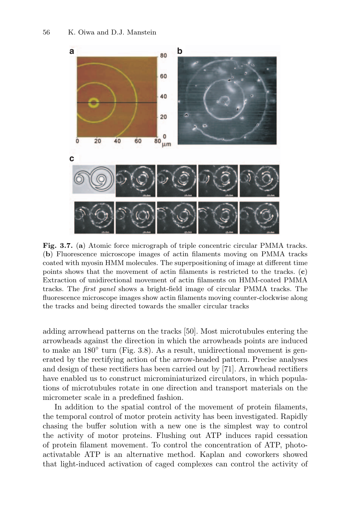

**Fig. 3.7.** (**a**) Atomic force micrograph of triple concentric circular PMMA tracks. (**b**) Fluorescence microscope images of actin filaments moving on PMMA tracks coated with myosin HMM molecules. The superpositioning of image at different time points shows that the movement of actin filaments is restricted to the tracks. (**c**) Extraction of unidirectional movement of actin filaments on HMM-coated PMMA tracks. The first panel shows a bright-field image of circular PMMA tracks. The fluorescence microscope images show actin filaments moving counter-clockwise along the tracks and being directed towards the smaller circular tracks

adding arrowhead patterns on the tracks [50]. Most microtubules entering the arrowheads against the direction in which the arrowheads points are induced to make an  $180^\circ$  turn (Fig. 3.8). As a result, unidirectional movement is generated by the rectifying action of the arrow-headed pattern. Precise analyses and design of these rectifiers has been carried out by [71]. Arrowhead rectifiers have enabled us to construct microminiaturized circulators, in which populations of microtubules rotate in one direction and transport materials on the micrometer scale in a predefined fashion.

In addition to the spatial control of the movement of protein filaments, the temporal control of motor protein activity has been investigated. Rapidly chasing the buffer solution with a new one is the simplest way to control the activity of motor proteins. Flushing out ATP induces rapid cessation of protein filament movement. To control the concentration of ATP, photoactivatable ATP is an alternative method. Kaplan and coworkers showed that light-induced activation of caged complexes can control the activity of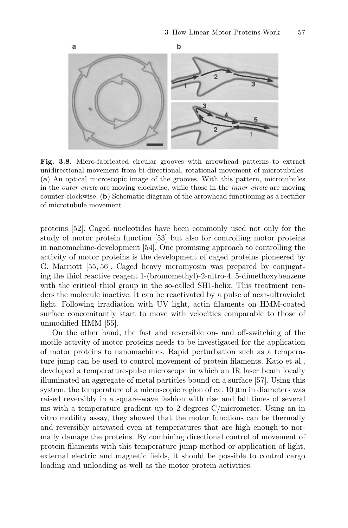

**Fig. 3.8.** Micro-fabricated circular grooves with arrowhead patterns to extract unidirectional movement from bi-directional, rotational movement of microtubules. (**a**) An optical microscopic image of the grooves. With this pattern, microtubules in the outer circle are moving clockwise, while those in the inner circle are moving counter-clockwise. (**b**) Schematic diagram of the arrowhead functioning as a rectifier of microtubule movement

proteins [52]. Caged nucleotides have been commonly used not only for the study of motor protein function [53] but also for controlling motor proteins in nanomachine-development [54]. One promising approach to controlling the activity of motor proteins is the development of caged proteins pioneered by G. Marriott [55, 56]. Caged heavy meromyosin was prepared by conjugating the thiol reactive reagent 1-(bromomethyl)-2-nitro-4, 5-dimethoxybenzene with the critical thiol group in the so-called SH1-helix. This treatment renders the molecule inactive. It can be reactivated by a pulse of near-ultraviolet light. Following irradiation with UV light, actin filaments on HMM-coated surface concomitantly start to move with velocities comparable to those of unmodified HMM [55].

On the other hand, the fast and reversible on- and off-switching of the motile activity of motor proteins needs to be investigated for the application of motor proteins to nanomachines. Rapid perturbation such as a temperature jump can be used to control movement of protein filaments. Kato et al., developed a temperature-pulse microscope in which an IR laser beam locally illuminated an aggregate of metal particles bound on a surface [57]. Using this system, the temperature of a microscopic region of ca.  $10 \mu m$  in diameters was raised reversibly in a square-wave fashion with rise and fall times of several ms with a temperature gradient up to 2 degrees C/micrometer. Using an in vitro motility assay, they showed that the motor functions can be thermally and reversibly activated even at temperatures that are high enough to normally damage the proteins. By combining directional control of movement of protein filaments with this temperature jump method or application of light, external electric and magnetic fields, it should be possible to control cargo loading and unloading as well as the motor protein activities.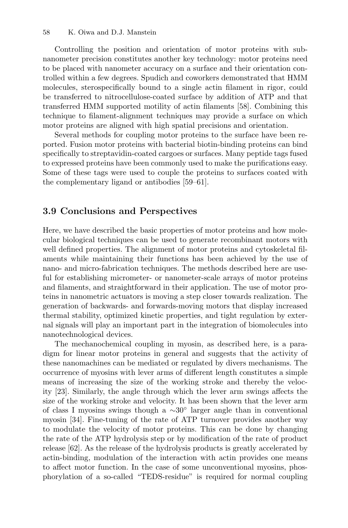Controlling the position and orientation of motor proteins with subnanometer precision constitutes another key technology: motor proteins need to be placed with nanometer accuracy on a surface and their orientation controlled within a few degrees. Spudich and coworkers demonstrated that HMM molecules, sterospecifically bound to a single actin filament in rigor, could be transferred to nitrocellulose-coated surface by addition of ATP and that transferred HMM supported motility of actin filaments [58]. Combining this technique to filament-alignment techniques may provide a surface on which motor proteins are aligned with high spatial precisions and orientation.

Several methods for coupling motor proteins to the surface have been reported. Fusion motor proteins with bacterial biotin-binding proteins can bind specifically to streptavidin-coated cargoes or surfaces. Many peptide tags fused to expressed proteins have been commonly used to make the purifications easy. Some of these tags were used to couple the proteins to surfaces coated with the complementary ligand or antibodies [59–61].

#### **3.9 Conclusions and Perspectives**

Here, we have described the basic properties of motor proteins and how molecular biological techniques can be used to generate recombinant motors with well defined properties. The alignment of motor proteins and cytoskeletal filaments while maintaining their functions has been achieved by the use of nano- and micro-fabrication techniques. The methods described here are useful for establishing micrometer- or nanometer-scale arrays of motor proteins and filaments, and straightforward in their application. The use of motor proteins in nanometric actuators is moving a step closer towards realization. The generation of backwards- and forwards-moving motors that display increased thermal stability, optimized kinetic properties, and tight regulation by external signals will play an important part in the integration of biomolecules into nanotechnological devices.

The mechanochemical coupling in myosin, as described here, is a paradigm for linear motor proteins in general and suggests that the activity of these nanomachines can be mediated or regulated by divers mechanisms. The occurrence of myosins with lever arms of different length constitutes a simple means of increasing the size of the working stroke and thereby the velocity [23]. Similarly, the angle through which the lever arm swings affects the size of the working stroke and velocity. It has been shown that the lever arm of class I myosins swings though a ∼30◦ larger angle than in conventional myosin [34]. Fine-tuning of the rate of ATP turnover provides another way to modulate the velocity of motor proteins. This can be done by changing the rate of the ATP hydrolysis step or by modification of the rate of product release [62]. As the release of the hydrolysis products is greatly accelerated by actin-binding, modulation of the interaction with actin provides one means to affect motor function. In the case of some unconventional myosins, phosphorylation of a so-called "TEDS-residue" is required for normal coupling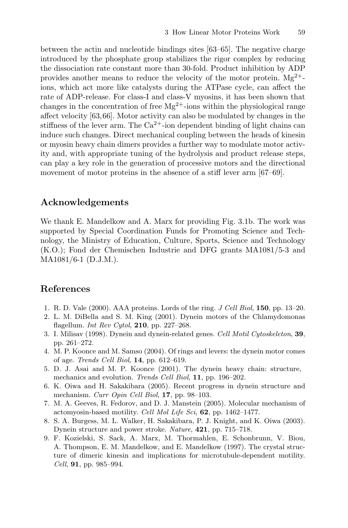between the actin and nucleotide bindings sites [63–65]. The negative charge introduced by the phosphate group stabilizes the rigor complex by reducing the dissociation rate constant more than 30-fold. Product inhibition by ADP provides another means to reduce the velocity of the motor protein.  $Mg^{2+}$ ions, which act more like catalysts during the ATPase cycle, can affect the rate of ADP-release. For class-I and class-V myosins, it has been shown that changes in the concentration of free  $Mg^{2+}$ -ions within the physiological range affect velocity [63,66]. Motor activity can also be modulated by changes in the stiffness of the lever arm. The  $Ca^{2+}$ -ion dependent binding of light chains can induce such changes. Direct mechanical coupling between the heads of kinesin or myosin heavy chain dimers provides a further way to modulate motor activity and, with appropriate tuning of the hydrolysis and product release steps, can play a key role in the generation of processive motors and the directional movement of motor proteins in the absence of a stiff lever arm  $[67-69]$ .

#### **Acknowledgements**

We thank E. Mandelkow and A. Marx for providing Fig. 3.1b. The work was supported by Special Coordination Funds for Promoting Science and Technology, the Ministry of Education, Culture, Sports, Science and Technology (K.O.); Fond der Chemischen Industrie and DFG grants MA1081/5-3 and MA1081/6-1 (D.J.M.).

### **References**

- 1. R. D. Vale (2000). AAA proteins. Lords of the ring. J Cell Biol, **150**, pp. 13–20.
- 2. L. M. DiBella and S. M. King (2001). Dynein motors of the Chlamydomonas flagellum. Int Rev Cytol, **210**, pp. 227–268.
- 3. I. Milisav (1998). Dynein and dynein-related genes. Cell Motil Cytoskeleton, **39**, pp. 261–272.
- 4. M. P. Koonce and M. Samso (2004). Of rings and levers: the dynein motor comes of age. Trends Cell Biol, **14**, pp. 612–619.
- 5. D. J. Asai and M. P. Koonce (2001). The dynein heavy chain: structure, mechanics and evolution. Trends Cell Biol, **11**, pp. 196–202.
- 6. K. Oiwa and H. Sakakibara (2005). Recent progress in dynein structure and mechanism. Curr Opin Cell Biol, **17**, pp. 98–103.
- 7. M. A. Geeves, R. Fedorov, and D. J. Manstein (2005). Molecular mechanism of actomyosin-based motility. Cell Mol Life Sci, **62**, pp. 1462–1477.
- 8. S. A. Burgess, M. L. Walker, H. Sakakibara, P. J. Knight, and K. Oiwa (2003). Dynein structure and power stroke. Nature, **421**, pp. 715–718.
- 9. F. Kozielski, S. Sack, A. Marx, M. Thormahlen, E. Schonbrunn, V. Biou, A. Thompson, E. M. Mandelkow, and E. Mandelkow (1997). The crystal structure of dimeric kinesin and implications for microtubule-dependent motility. Cell, **91**, pp. 985–994.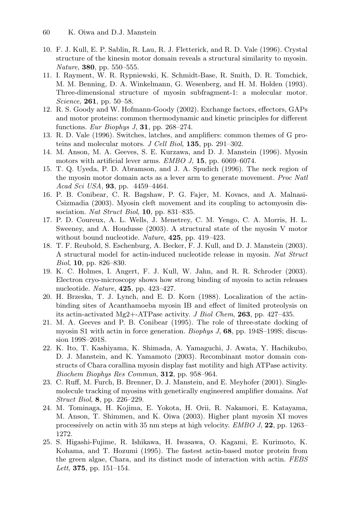- 10. F. J. Kull, E. P. Sablin, R. Lau, R. J. Fletterick, and R. D. Vale (1996). Crystal structure of the kinesin motor domain reveals a structural similarity to myosin. Nature, **380**, pp. 550–555.
- 11. I. Rayment, W. R. Rypniewski, K. Schmidt-Base, R. Smith, D. R. Tomchick, M. M. Benning, D. A. Winkelmann, G. Wesenberg, and H. M. Holden (1993). Three-dimensional structure of myosin subfragment-1: a molecular motor. Science, **261**, pp. 50–58.
- 12. R. S. Goody and W. Hofmann-Goody (2002). Exchange factors, effectors, GAPs and motor proteins: common thermodynamic and kinetic principles for different functions. Eur Biophys J, **31**, pp. 268–274.
- 13. R. D. Vale (1996). Switches, latches, and amplifiers: common themes of G proteins and molecular motors. J Cell Biol, **135**, pp. 291–302.
- 14. M. Anson, M. A. Geeves, S. E. Kurzawa, and D. J. Manstein (1996). Myosin motors with artificial lever arms. EMBO J, **15**, pp. 6069–6074.
- 15. T. Q. Uyeda, P. D. Abramson, and J. A. Spudich (1996). The neck region of the myosin motor domain acts as a lever arm to generate movement. Proc Natl Acad Sci USA, **93**, pp. 4459–4464.
- 16. P. B. Conibear, C. R. Bagshaw, P. G. Fajer, M. Kovacs, and A. Malnasi-Csizmadia (2003). Myosin cleft movement and its coupling to actomyosin dissociation. Nat Struct Biol, **10**, pp. 831–835.
- 17. P. D. Coureux, A. L. Wells, J. Menetrey, C. M. Yengo, C. A. Morris, H. L. Sweeney, and A. Houdusse (2003). A structural state of the myosin V motor without bound nucleotide. Nature, **425**, pp. 419–423.
- 18. T. F. Reubold, S. Eschenburg, A. Becker, F. J. Kull, and D. J. Manstein (2003). A structural model for actin-induced nucleotide release in myosin. Nat Struct Biol, **10**, pp. 826–830.
- 19. K. C. Holmes, I. Angert, F. J. Kull, W. Jahn, and R. R. Schroder (2003). Electron cryo-microscopy shows how strong binding of myosin to actin releases nucleotide. Nature, **425**, pp. 423–427.
- 20. H. Brzeska, T. J. Lynch, and E. D. Korn (1988). Localization of the actinbinding sites of Acanthamoeba myosin IB and effect of limited proteolysis on its actin-activated Mg2+-ATPase activity. J Biol Chem, **263**, pp. 427–435.
- 21. M. A. Geeves and P. B. Conibear (1995). The role of three-state docking of myosin S1 with actin in force generation. Biophys J, **68**, pp. 194S–199S; discussion 199S–201S.
- 22. K. Ito, T. Kashiyama, K. Shimada, A. Yamaguchi, J. Awata, Y. Hachikubo, D. J. Manstein, and K. Yamamoto (2003). Recombinant motor domain constructs of Chara corallina myosin display fast motility and high ATPase activity. Biochem Biophys Res Commun, **312**, pp. 958–964.
- 23. C. Ruff, M. Furch, B. Brenner, D. J. Manstein, and E. Meyhofer (2001). Singlemolecule tracking of myosins with genetically engineered amplifier domains. Nat Struct Biol, **8**, pp. 226–229.
- 24. M. Tominaga, H. Kojima, E. Yokota, H. Orii, R. Nakamori, E. Katayama, M. Anson, T. Shimmen, and K. Oiwa (2003). Higher plant myosin XI moves processively on actin with 35 nm steps at high velocity. EMBO J, **22**, pp. 1263– 1272.
- 25. S. Higashi-Fujime, R. Ishikawa, H. Iwasawa, O. Kagami, E. Kurimoto, K. Kohama, and T. Hozumi (1995). The fastest actin-based motor protein from the green algae, Chara, and its distinct mode of interaction with actin. FEBS Lett, **375**, pp. 151–154.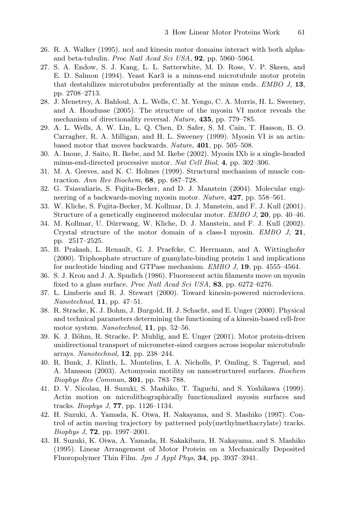- 26. R. A. Walker (1995). ncd and kinesin motor domains interact with both alphaand beta-tubulin. Proc Natl Acad Sci USA, **92**, pp. 5960–5964.
- 27. S. A. Endow, S. J. Kang, L. L. Satterwhite, M. D. Rose, V. P. Skeen, and E. D. Salmon (1994). Yeast Kar3 is a minus-end microtubule motor protein that destabilizes microtubules preferentially at the minus ends. EMBO J, **13**, pp. 2708–2713.
- 28. J. Menetrey, A. Bahloul, A. L. Wells, C. M. Yengo, C. A. Morris, H. L. Sweeney, and A. Houdusse (2005). The structure of the myosin VI motor reveals the mechanism of directionality reversal. Nature, **435**, pp. 779–785.
- 29. A. L. Wells, A. W. Lin, L. Q. Chen, D. Safer, S. M. Cain, T. Hasson, B. O. Carragher, R. A. Milligan, and H. L. Sweeney (1999). Myosin VI is an actinbased motor that moves backwards. Nature, **401**, pp. 505–508.
- 30. A. Inoue, J. Saito, R. Ikebe, and M. Ikebe (2002). Myosin IXb is a single-headed minus-end-directed processive motor. Nat Cell Biol, **4**, pp. 302–306.
- 31. M. A. Geeves, and K. C. Holmes (1999). Structural mechanism of muscle contraction. Ann Rev Biochem, **68**, pp. 687–728.
- 32. G. Tsiavaliaris, S. Fujita-Becker, and D. J. Manstein (2004). Molecular engineering of a backwards-moving myosin motor. Nature, **427**, pp. 558–561.
- 33. W. Kliche, S. Fujita-Becker, M. Kollmar, D. J. Manstein, and F. J. Kull (2001). Structure of a genetically engineered molecular motor. EMBO J, **20**, pp. 40–46.
- 34. M. Kollmar, U. Dürrwang, W. Kliche, D. J. Manstein, and F. J. Kull (2002). Crystal structure of the motor domain of a class-I myosin. EMBO J, **21**, pp. 2517–2525.
- 35. B. Prakash, L. Renault, G. J. Praefcke, C. Herrmann, and A. Wittinghofer (2000). Triphosphate structure of guanylate-binding protein 1 and implications for nucleotide binding and GTPase mechanism. EMBO J, **19**, pp. 4555–4564.
- 36. S. J. Kron and J. A. Spudich (1986). Fluorescent actin filaments move on myosin fixed to a glass surface. Proc Natl Acad Sci USA, **83**, pp. 6272–6276.
- 37. L. Limberis and R. J. Stewart (2000). Toward kinesin-powered microdevices. Nanotechnol, **11**, pp. 47–51.
- 38. R. Stracke, K. J. Bohm, J. Burgold, H. J. Schacht, and E. Unger (2000). Physical and technical parameters determining the functioning of a kinesin-based cell-free motor system. Nanotechnol, **11**, pp. 52–56.
- 39. K. J. Böhm, R. Stracke, P. Muhlig, and E. Unger (2001). Motor protein-driven unidirectional transport of micrometer-sized cargoes across isopolar microtubule arrays. Nanotechnol, **12**, pp. 238–244.
- 40. R. Bunk, J. Klinth, L. Montelius, I. A. Nicholls, P. Omling, S. Tagerud, and A. Mansson (2003). Actomyosin motility on nanostructured surfaces. Biochem Biophys Res Commun, **301**, pp. 783–788.
- 41. D. V. Nicolau, H. Suzuki, S. Mashiko, T. Taguchi, and S. Yoshikawa (1999). Actin motion on microlithographically functionalized myosin surfaces and tracks. Biophys J, **77**, pp. 1126–1134.
- 42. H. Suzuki, A. Yamada, K. Oiwa, H. Nakayama, and S. Mashiko (1997). Control of actin moving trajectory by patterned poly(methylmethacrylate) tracks. Biophys J, **72**, pp. 1997–2001.
- 43. H. Suzuki, K. Oiwa, A. Yamada, H. Sakakibara, H. Nakayama, and S. Mashiko (1995). Linear Arrangement of Motor Protein on a Mechanically Deposited Fluoropolymer Thin Film. Jpn J Appl Phys, **34**, pp. 3937–3941.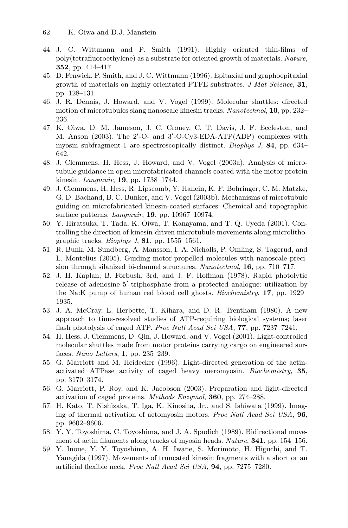- 44. J. C. Wittmann and P. Smith (1991). Highly oriented thin-films of poly(tetrafluoroethylene) as a substrate for oriented growth of materials. Nature, **352**, pp. 414–417.
- 45. D. Fenwick, P. Smith, and J. C. Wittmann (1996). Epitaxial and graphoepitaxial growth of materials on highly orientated PTFE substrates. J Mat Science, **31**, pp. 128–131.
- 46. J. R. Dennis, J. Howard, and V. Vogel (1999). Molecular shuttles: directed motion of microtubules slang nanoscale kinesin tracks. Nanotechnol, **10**, pp. 232– 236.
- 47. K. Oiwa, D. M. Jameson, J. C. Croney, C. T. Davis, J. F. Eccleston, and M. Anson (2003). The 2'-O- and 3'-O-Cy3-EDA-ATP(ADP) complexes with myosin subfragment-1 are spectroscopically distinct. Biophys J, **84**, pp. 634– 642.
- 48. J. Clemmens, H. Hess, J. Howard, and V. Vogel (2003a). Analysis of microtubule guidance in open microfabricated channels coated with the motor protein kinesin. Langmuir, **19**, pp. 1738–1744.
- 49. J. Clemmens, H. Hess, R. Lipscomb, Y. Hanein, K. F. Bohringer, C. M. Matzke, G. D. Bachand, B. C. Bunker, and V. Vogel (2003b). Mechanisms of microtubule guiding on microfabricated kinesin-coated surfaces: Chemical and topographic surface patterns. Langmuir, **19**, pp. 10967–10974.
- 50. Y. Hiratsuka, T. Tada, K. Oiwa, T. Kanayama, and T. Q. Uyeda (2001). Controlling the direction of kinesin-driven microtubule movements along microlithographic tracks. Biophys J, **81**, pp. 1555–1561.
- 51. R. Bunk, M. Sundberg, A. Mansson, I. A. Nicholls, P. Omling, S. Tagerud, and L. Montelius (2005). Guiding motor-propelled molecules with nanoscale precision through silanized bi-channel structures. Nanotechnol, **16**, pp. 710–717.
- 52. J. H. Kaplan, B. Forbush, 3rd, and J. F. Hoffman (1978). Rapid photolytic release of adenosine 5'-triphosphate from a protected analogue: utilization by the Na:K pump of human red blood cell ghosts. Biochemistry, **17**, pp. 1929– 1935.
- 53. J. A. McCray, L. Herbette, T. Kihara, and D. R. Trentham (1980). A new approach to time-resolved studies of ATP-requiring biological systems; laser flash photolysis of caged ATP. Proc Natl Acad Sci USA, **77**, pp. 7237–7241.
- 54. H. Hess, J. Clemmens, D. Qin, J. Howard, and V. Vogel (2001). Light-controlled molecular shuttles made from motor proteins carrying cargo on engineered surfaces. Nano Letters, **1**, pp. 235–239.
- 55. G. Marriott and M. Heidecker (1996). Light-directed generation of the actinactivated ATPase activity of caged heavy meromyosin. Biochemistry, **35**, pp. 3170–3174.
- 56. G. Marriott, P. Roy, and K. Jacobson (2003). Preparation and light-directed activation of caged proteins. Methods Enzymol, **360**, pp. 274–288.
- 57. H. Kato, T. Nishizaka, T. Iga, K. Kinosita, Jr., and S. Ishiwata (1999). Imaging of thermal activation of actomyosin motors. Proc Natl Acad Sci USA, **96**, pp. 9602–9606.
- 58. Y. Y. Toyoshima, C. Toyoshima, and J. A. Spudich (1989). Bidirectional movement of actin filaments along tracks of myosin heads. Nature, **341**, pp. 154–156.
- 59. Y. Inoue, Y. Y. Toyoshima, A. H. Iwane, S. Morimoto, H. Higuchi, and T. Yanagida (1997). Movements of truncated kinesin fragments with a short or an artificial flexible neck. Proc Natl Acad Sci USA, **94**, pp. 7275–7280.